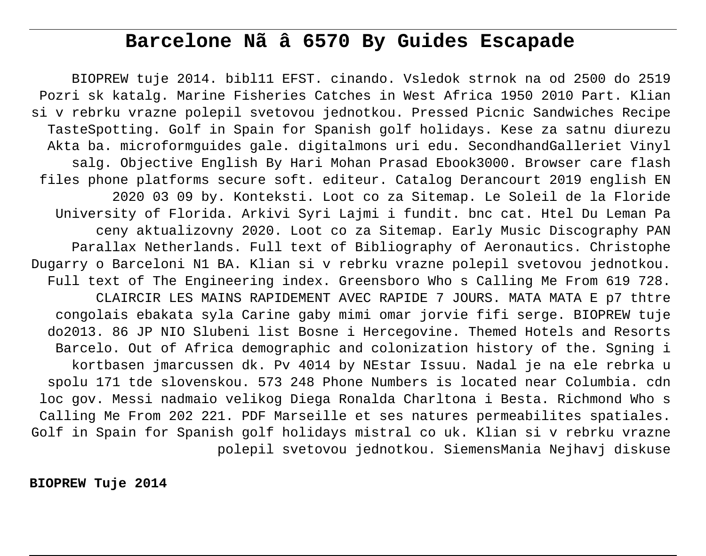# **Barcelone Nã â 6570 By Guides Escapade**

BIOPREW tuje 2014. bibl11 EFST. cinando. Vsledok strnok na od 2500 do 2519 Pozri sk katalg. Marine Fisheries Catches in West Africa 1950 2010 Part. Klian si v rebrku vrazne polepil svetovou jednotkou. Pressed Picnic Sandwiches Recipe TasteSpotting. Golf in Spain for Spanish golf holidays. Kese za satnu diurezu Akta ba. microformguides gale. digitalmons uri edu. SecondhandGalleriet Vinyl salg. Objective English By Hari Mohan Prasad Ebook3000. Browser care flash files phone platforms secure soft. editeur. Catalog Derancourt 2019 english EN 2020 03 09 by. Konteksti. Loot co za Sitemap. Le Soleil de la Floride University of Florida. Arkivi Syri Lajmi i fundit. bnc cat. Htel Du Leman Pa ceny aktualizovny 2020. Loot co za Sitemap. Early Music Discography PAN Parallax Netherlands. Full text of Bibliography of Aeronautics. Christophe Dugarry o Barceloni N1 BA. Klian si v rebrku vrazne polepil svetovou jednotkou. Full text of The Engineering index. Greensboro Who s Calling Me From 619 728. CLAIRCIR LES MAINS RAPIDEMENT AVEC RAPIDE 7 JOURS. MATA MATA E p7 thtre congolais ebakata syla Carine gaby mimi omar jorvie fifi serge. BIOPREW tuje do2013. 86 JP NIO Slubeni list Bosne i Hercegovine. Themed Hotels and Resorts Barcelo. Out of Africa demographic and colonization history of the. Sgning i kortbasen jmarcussen dk. Pv 4014 by NEstar Issuu. Nadal je na ele rebrka u spolu 171 tde slovenskou. 573 248 Phone Numbers is located near Columbia. cdn loc gov. Messi nadmaio velikog Diega Ronalda Charltona i Besta. Richmond Who s Calling Me From 202 221. PDF Marseille et ses natures permeabilites spatiales. Golf in Spain for Spanish golf holidays mistral co uk. Klian si v rebrku vrazne polepil svetovou jednotkou. SiemensMania Nejhavj diskuse

**BIOPREW Tuje 2014**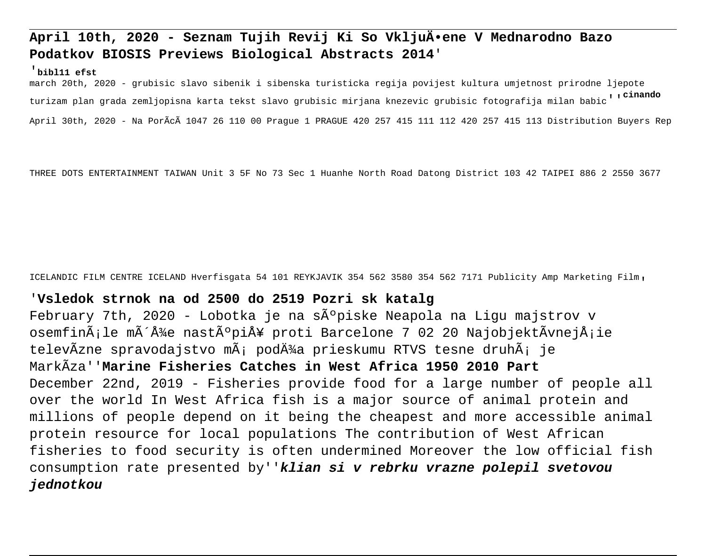## **April 10th, 2020 - Seznam Tujih Revij Ki So Vkljuĕene V Mednarodno Bazo Podatkov BIOSIS Previews Biological Abstracts 2014**'

#### '**bibl11 efst**

march 20th, 2020 - grubisic slavo sibenik i sibenska turisticka regija povijest kultura umjetnost prirodne ljepote turizam plan grada zemljopisna karta tekst slavo grubisic mirjana knezevic grubisic fotografija milan babic''**cinando** April 30th, 2020 - Na PorÃcà 1047 26 110 00 Prague 1 PRAGUE 420 257 415 111 112 420 257 415 113 Distribution Buyers Rep

THREE DOTS ENTERTAINMENT TAIWAN Unit 3 5F No 73 Sec 1 Huanhe North Road Datong District 103 42 TAIPEI 886 2 2550 3677

ICELANDIC FILM CENTRE ICELAND Hverfisgata 54 101 REYKJAVIK 354 562 3580 354 562 7171 Publicity Amp Marketing Film'

## '**Vsledok strnok na od 2500 do 2519 Pozri sk katalg**

February 7th, 2020 - Lobotka je na s $\tilde{A}^{\circ}$ piske Neapola na Ligu majstrov v osemfinÃ;le môże nastúpiÅ¥ proti Barcelone 7 02 20 NajobjektÃvnejÅ;ie televÃzne spravodajstvo mÃ; podĂ¼a prieskumu RTVS tesne druhÃ; je MarkÃza''**Marine Fisheries Catches in West Africa 1950 2010 Part** December 22nd, 2019 - Fisheries provide food for a large number of people all over the world In West Africa fish is a major source of animal protein and millions of people depend on it being the cheapest and more accessible animal protein resource for local populations The contribution of West African fisheries to food security is often undermined Moreover the low official fish consumption rate presented by''**klian si v rebrku vrazne polepil svetovou jednotkou**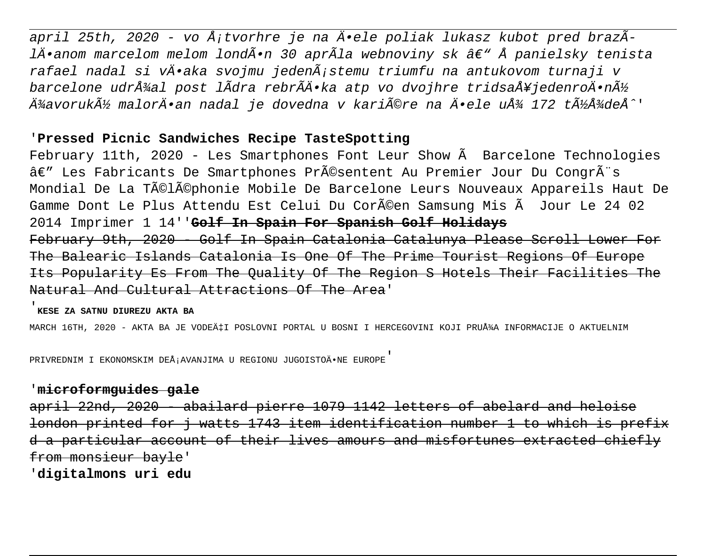april 25th, 2020 - vo Å¡tvorhre je na Ä•ele poliak lukasz kubot pred brazÃlĕanom marcelom melom londÕn 30 aprÃla webnoviny sk â€" Å panielsky tenista rafael nadal si vĕaka svojmu jedenÃ;stemu triumfu na antukovom turnaji v barcelone udržal post lÃdra rebrÃÄ•ka atp vo dvojhre tridsaÅ¥jedenroÄ•ný ļavoruký malorÄ•an nadal je dovedna v kariére na Ä•ele uż 172 týżdeÅ^'

## '**Pressed Picnic Sandwiches Recipe TasteSpotting**

February 11th, 2020 - Les Smartphones Font Leur Show à Barcelone Technologies â€" Les Fabricants De Smartphones Présentent Au Premier Jour Du CongrÃ"s Mondial De La Téléphonie Mobile De Barcelone Leurs Nouveaux Appareils Haut De Gamme Dont Le Plus Attendu Est Celui Du Coréen Samsung Mis à Jour Le 24 02 2014 Imprimer 1 14''**Golf In Spain For Spanish Golf Holidays** February 9th, 2020 - Golf In Spain Catalonia Catalunya Please Scroll Lower For The Balearic Islands Catalonia Is One Of The Prime Tourist Regions Of Europe Its Popularity Es From The Quality Of The Region S Hotels Their Facilities The Natural And Cultural Attractions Of The Area'

#### '**KESE ZA SATNU DIUREZU AKTA BA**

MARCH 16TH, 2020 - AKTA BA JE VODEćI POSLOVNI PORTAL U BOSNI I HERCEGOVINI KOJI PRUžA INFORMACIJE O AKTUELNIM

PRIVREDNIM I EKONOMSKIM DEÅ; AVANJIMA U REGIONU JUGOISTOÄ.NE EUROPE'

### '**microformguides gale**

april 22nd, 2020 - abailard pierre 1079 1142 letters of abelard and heloise london printed for j watts 1743 item identification number 1 to which is prefix d a particular account of their lives amours and misfortunes extracted chiefly from monsieur bayle'

'**digitalmons uri edu**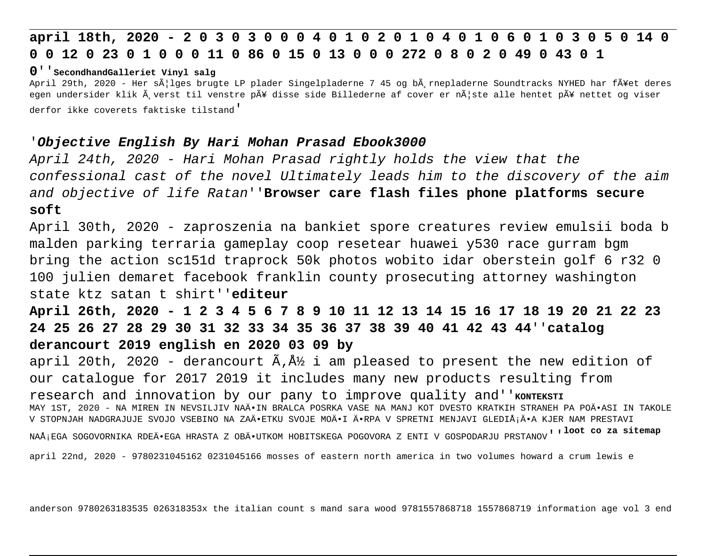# **april 18th, 2020 - 2 0 3 0 3 0 0 0 4 0 1 0 2 0 1 0 4 0 1 0 6 0 1 0 3 0 5 0 14 0 0 0 12 0 23 0 1 0 0 0 11 0 86 0 15 0 13 0 0 0 272 0 8 0 2 0 49 0 43 0 1**

#### **0**''**SecondhandGalleriet Vinyl salg**

April 29th, 2020 - Her så|lges brugte LP plader Singelpladerne 7 45 og bå rnepladerne Soundtracks NYHED har få¥et deres egen undersider klik Šverst til venstre pť disse side Billederne af cover er nÅ|ste alle hentet pÅ¥ nettet og viser derfor ikke coverets faktiske tilstand'

### '**Objective English By Hari Mohan Prasad Ebook3000**

April 24th, 2020 - Hari Mohan Prasad rightly holds the view that the confessional cast of the novel Ultimately leads him to the discovery of the aim and objective of life Ratan''**Browser care flash files phone platforms secure soft**

April 30th, 2020 - zaproszenia na bankiet spore creatures review emulsii boda b malden parking terraria gameplay coop resetear huawei y530 race gurram bgm bring the action sc151d traprock 50k photos wobito idar oberstein golf 6 r32 0 100 julien demaret facebook franklin county prosecuting attorney washington state ktz satan t shirt''**editeur**

## **April 26th, 2020 - 1 2 3 4 5 6 7 8 9 10 11 12 13 14 15 16 17 18 19 20 21 22 23 24 25 26 27 28 29 30 31 32 33 34 35 36 37 38 39 40 41 42 43 44**''**catalog derancourt 2019 english en 2020 03 09 by**

april 20th, 2020 - derancourt  $\tilde{A}$ ,  $\tilde{A}$  i am pleased to present the new edition of our catalogue for 2017 2019 it includes many new products resulting from research and innovation by our pany to improve quality and'' KONTEKSTI MAY 1ST, 2020 - NA MIREN IN NEVSILJIV NAĕIN BRALCA POSRKA VASE NA MANJ KOT DVESTO KRATKIH STRANEH PA POÄ•ASI IN TAKOLE V STOPNJAH NADGRAJUJE SVOJO VSEBINO NA ZAÄ.ETKU SVOJE MOÄ.I Ä.RPA V SPRETNI MENJAVI GLEDIÅ;Ä.A KJER NAM PRESTAVI NAšEGA SOGOVORNIKA RDEÄ•EGA HRASTA Z OBÄ•UTKOM HOBITSKEGA POGOVORA Z ENTI V GOSPODARJU PRSTANOV'''**Loot co za sitemap** 

april 22nd, 2020 - 9780231045162 0231045166 mosses of eastern north america in two volumes howard a crum lewis e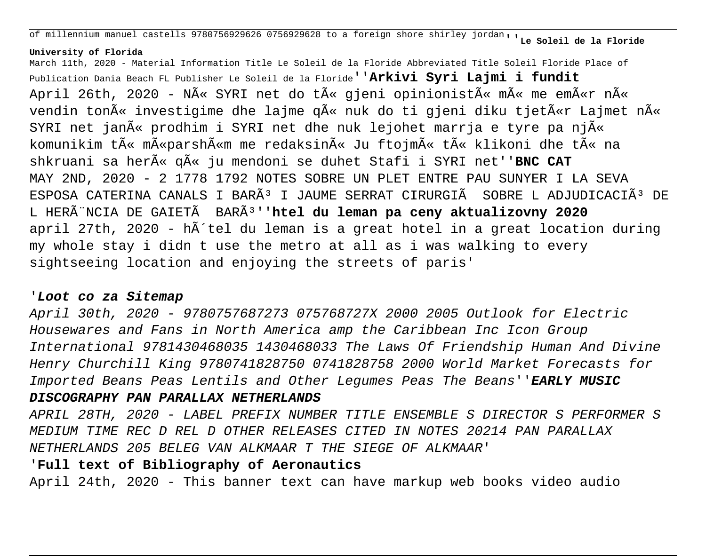of millennium manuel castells 9780756929626 0756929628 to a foreign shore shirley jordan''**Le Soleil de la Floride**

#### **University of Florida**

March 11th, 2020 - Material Information Title Le Soleil de la Floride Abbreviated Title Soleil Floride Place of Publication Dania Beach FL Publisher Le Soleil de la Floride''**Arkivi Syri Lajmi i fundit** April 26th, 2020 - NA« SYRI net do tA« gjeni opinionistA« mA« me emA«r nA« vendin ton $\tilde{A}$ « investigime dhe lajme q $\tilde{A}$ « nuk do ti gjeni diku tjet $\tilde{A}$ «r Lajmet n $\tilde{A}$ « SYRI net jan $\tilde{A}$ « prodhim i SYRI net dhe nuk lejohet marrja e tyre pa nj $\tilde{A}$ « komunikim t $\tilde{A}$ « m $\tilde{A}$ «parsh $\tilde{A}$ «m me redaksin $\tilde{A}$ « Ju ftojm $\tilde{A}$ « t $\tilde{A}$ « klikoni dhe t $\tilde{A}$ « na shkruani sa her $\tilde{A}$ « q $\tilde{A}$ « ju mendoni se duhet Stafi i SYRI net''BNC CAT MAY 2ND, 2020 - 2 1778 1792 NOTES SOBRE UN PLET ENTRE PAU SUNYER I LA SEVA ESPOSA CATERINA CANALS I BARÃ<sup>3</sup> I JAUME SERRAT CIRURGIÃ SOBRE L ADJUDICACIÃ<sup>3</sup> DE L HERÃ NCIA DE GAIETÃ BARÃ<sup>3</sup>''htel du leman pa ceny aktualizovny 2020 april 27th, 2020 - hà tel du leman is a great hotel in a great location during my whole stay i didn t use the metro at all as i was walking to every sightseeing location and enjoying the streets of paris'

### '**Loot co za Sitemap**

April 30th, 2020 - 9780757687273 075768727X 2000 2005 Outlook for Electric Housewares and Fans in North America amp the Caribbean Inc Icon Group International 9781430468035 1430468033 The Laws Of Friendship Human And Divine Henry Churchill King 9780741828750 0741828758 2000 World Market Forecasts for Imported Beans Peas Lentils and Other Legumes Peas The Beans''**EARLY MUSIC**

### **DISCOGRAPHY PAN PARALLAX NETHERLANDS**

APRIL 28TH, 2020 - LABEL PREFIX NUMBER TITLE ENSEMBLE S DIRECTOR S PERFORMER S MEDIUM TIME REC D REL D OTHER RELEASES CITED IN NOTES 20214 PAN PARALLAX NETHERLANDS 205 BELEG VAN ALKMAAR T THE SIEGE OF ALKMAAR'

## '**Full text of Bibliography of Aeronautics**

April 24th, 2020 - This banner text can have markup web books video audio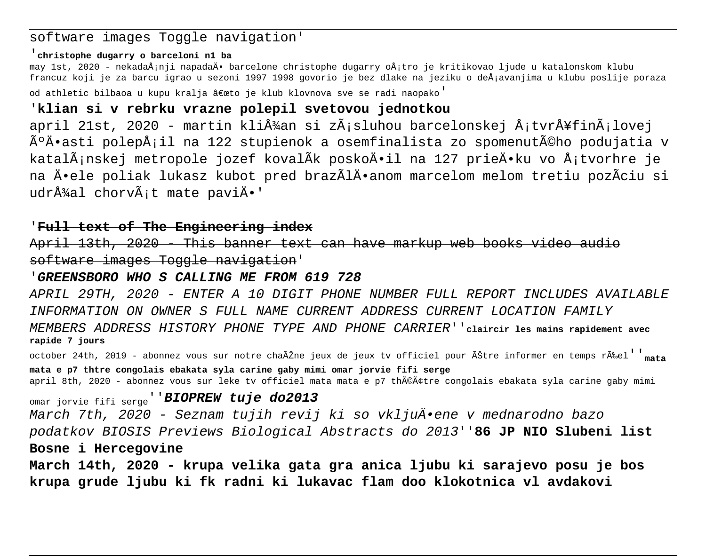## software images Toggle navigation'

#### '**christophe dugarry o barceloni n1 ba**

may 1st, 2020 - nekadaÅ;nji napadaÄ• barcelone christophe dugarry oÅ;tro je kritikovao ljude u katalonskom klubu francuz koji je za barcu igrao u sezoni 1997 1998 govorio je bez dlake na jeziku o deÅ;avanjima u klubu poslije poraza od athletic bilbaoa u kupu kralja "to je klub klovnova sve se radi naopako'

## '**klian si v rebrku vrazne polepil svetovou jednotkou**

april 21st, 2020 - martin kliťan si zÃ;sluhou barcelonskej Å;tvrÅ¥finÃ;lovej úÄ•asti polepÅ;il na 122 stupienok a osemfinalista zo spomenutého podujatia v katalÃ;nskej metropole jozef kovalÃk poskoÄ•il na 127 prieÄ•ku vo Å;tvorhre je na Ä•ele poliak lukasz kubot pred brazÃlÄ•anom marcelom melom tretiu pozÃciu si udrå¼al chorvÃ;t mate paviÄ.'

### '**Full text of The Engineering index**

April 13th, 2020 - This banner text can have markup web books video audio software images Toggle navigation'

#### '**GREENSBORO WHO S CALLING ME FROM 619 728**

APRIL 29TH, 2020 - ENTER A 10 DIGIT PHONE NUMBER FULL REPORT INCLUDES AVAILABLE INFORMATION ON OWNER S FULL NAME CURRENT ADDRESS CURRENT LOCATION FAMILY MEMBERS ADDRESS HISTORY PHONE TYPE AND PHONE CARRIER''**claircir les mains rapidement avec rapide 7 jours**

october 24th, 2019 - abonnez vous sur notre chaÎne jeux de jeux tv officiel pour Être informer en temps rÉel''**mata mata e p7 thtre congolais ebakata syla carine gaby mimi omar jorvie fifi serge** april 8th, 2020 - abonnez vous sur leke tv officiel mata mata e p7 théâtre congolais ebakata syla carine gaby mimi

omar jorvie fifi serge''**BIOPREW tuje do2013** March 7th, 2020 - Seznam tujih revij ki so vkljuĕene v mednarodno bazo podatkov BIOSIS Previews Biological Abstracts do 2013''**86 JP NIO Slubeni list Bosne i Hercegovine**

**March 14th, 2020 - krupa velika gata gra anica ljubu ki sarajevo posu je bos krupa grude ljubu ki fk radni ki lukavac flam doo klokotnica vl avdakovi**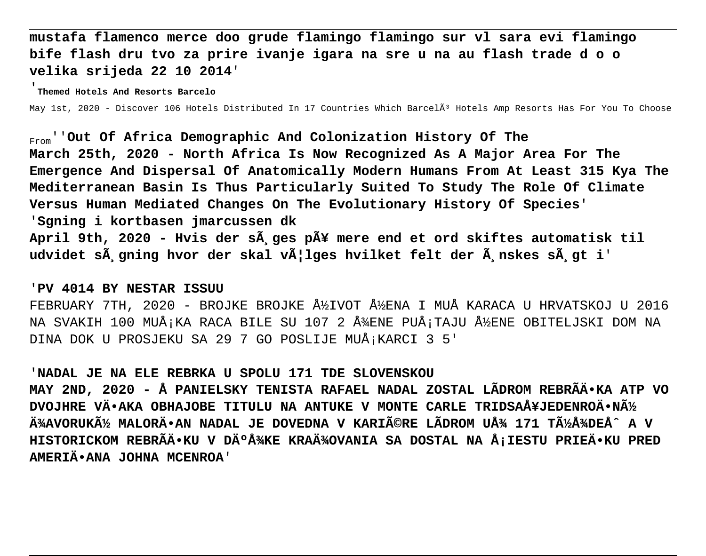**mustafa flamenco merce doo grude flamingo flamingo sur vl sara evi flamingo bife flash dru tvo za prire ivanje igara na sre u na au flash trade d o o velika srijeda 22 10 2014**'

'**Themed Hotels And Resorts Barcelo**

May 1st, 2020 - Discover 106 Hotels Distributed In 17 Countries Which Barcel $\tilde{A}$ <sup>3</sup> Hotels Amp Resorts Has For You To Choose

From''**Out Of Africa Demographic And Colonization History Of The March 25th, 2020 - North Africa Is Now Recognized As A Major Area For The Emergence And Dispersal Of Anatomically Modern Humans From At Least 315 Kya The Mediterranean Basin Is Thus Particularly Suited To Study The Role Of Climate Versus Human Mediated Changes On The Evolutionary History Of Species**' '**Sgning i kortbasen jmarcussen dk** April 9th, 2020 - Hvis der s**Å** ges pť mere end et ord skiftes automatisk til udvidet s $\tilde{A}$  gning hvor der skal v $\tilde{A}$ |lges hvilket felt der  $\tilde{A}$  nskes s $\tilde{A}$  gt i'

### '**PV 4014 BY NESTAR ISSUU**

FEBRUARY 7TH, 2020 - BROJKE BROJKE ŽIVOT ŽENA I MUÅ KARACA U HRVATSKOJ U 2016 NA SVAKIH 100 MUÅ; KA RACA BILE SU 107 2 Å¥ENE PUÅ; TAJU ŽENE OBITELJSKI DOM NA DINA DOK U PROSJEKU SA 29 7 GO POSLIJE MUÅ; KARCI 3 5'

#### '**NADAL JE NA ELE REBRKA U SPOLU 171 TDE SLOVENSKOU**

**MAY 2ND, 2020 - Å PANIELSKY TENISTA RAFAEL NADAL ZOSTAL LÃDROM REBRÃÄ•KA ATP VO DVOJHRE VĕAKA OBHAJOBE TITULU NA ANTUKE V MONTE CARLE TRIDSAÅ¥JEDENROÄ•Ný** ļAVORUKý MALORÄ•AN NADAL JE DOVEDNA V KARIéRE LÃDROM Uż 171 TüžDEÅ^ A V HISTORICKOM REBRÃÄ•KU V DİžKE KRAľOVANIA SA DOSTAL NA Å;IESTU PRIEÄ•KU PRED **AMERIĕANA JOHNA MCENROA**'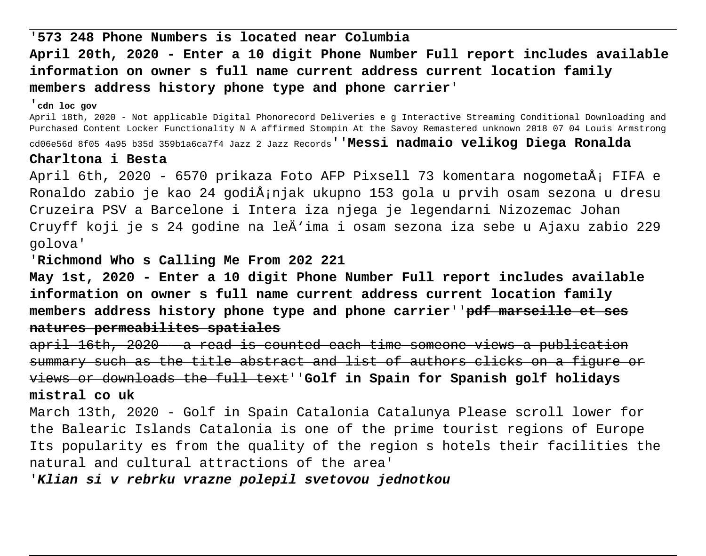# '**573 248 Phone Numbers is located near Columbia April 20th, 2020 - Enter a 10 digit Phone Number Full report includes available information on owner s full name current address current location family members address history phone type and phone carrier**'

#### '**cdn loc gov**

April 18th, 2020 - Not applicable Digital Phonorecord Deliveries e g Interactive Streaming Conditional Downloading and Purchased Content Locker Functionality N A affirmed Stompin At the Savoy Remastered unknown 2018 07 04 Louis Armstrong cd06e56d 8f05 4a95 b35d 359b1a6ca7f4 Jazz 2 Jazz Records''**Messi nadmaio velikog Diega Ronalda**

#### **Charltona i Besta**

April 6th, 2020 - 6570 prikaza Foto AFP Pixsell 73 komentara nogometaÅ; FIFA e Ronaldo zabio je kao 24 godiÅ;njak ukupno 153 gola u prvih osam sezona u dresu Cruzeira PSV a Barcelone i Intera iza njega je legendarni Nizozemac Johan Cruyff koji je s 24 godine na leÄ'ima i osam sezona iza sebe u Ajaxu zabio 229 golova'

'**Richmond Who s Calling Me From 202 221**

**May 1st, 2020 - Enter a 10 digit Phone Number Full report includes available information on owner s full name current address current location family members address history phone type and phone carrier**''**pdf marseille et ses natures permeabilites spatiales**

april 16th, 2020 - a read is counted each time someone views a publication summary such as the title abstract and list of authors clicks on a figure or views or downloads the full text''**Golf in Spain for Spanish golf holidays mistral co uk**

March 13th, 2020 - Golf in Spain Catalonia Catalunya Please scroll lower for the Balearic Islands Catalonia is one of the prime tourist regions of Europe Its popularity es from the quality of the region s hotels their facilities the natural and cultural attractions of the area'

'**Klian si v rebrku vrazne polepil svetovou jednotkou**